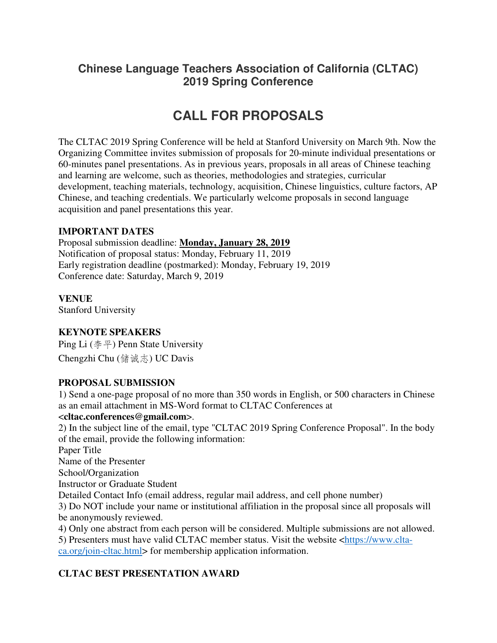# **Chinese Language Teachers Association of California (CLTAC) 2019 Spring Conference**

# **CALL FOR PROPOSALS**

The CLTAC 2019 Spring Conference will be held at Stanford University on March 9th. Now the Organizing Committee invites submission of proposals for 20-minute individual presentations or 60-minutes panel presentations. As in previous years, proposals in all areas of Chinese teaching and learning are welcome, such as theories, methodologies and strategies, curricular development, teaching materials, technology, acquisition, Chinese linguistics, culture factors, AP Chinese, and teaching credentials. We particularly welcome proposals in second language acquisition and panel presentations this year.

#### **IMPORTANT DATES**

Proposal submission deadline: **Monday, January 28, 2019** Notification of proposal status: Monday, February 11, 2019 Early registration deadline (postmarked): Monday, February 19, 2019 Conference date: Saturday, March 9, 2019

**VENUE** Stanford University

#### **KEYNOTE SPEAKERS**

Ping Li (李平) Penn State University Chengzhi Chu (储诚志) UC Davis

#### **PROPOSAL SUBMISSION**

1) Send a one-page proposal of no more than 350 words in English, or 500 characters in Chinese as an email attachment in MS-Word format to CLTAC Conferences at

#### <**cltac.conferences@gmail.com**>.

2) In the subject line of the email, type "CLTAC 2019 Spring Conference Proposal". In the body of the email, provide the following information:

Paper Title

Name of the Presenter

School/Organization

Instructor or Graduate Student

Detailed Contact Info (email address, regular mail address, and cell phone number)

3) Do NOT include your name or institutional affiliation in the proposal since all proposals will be anonymously reviewed.

4) Only one abstract from each person will be considered. Multiple submissions are not allowed.

5) Presenters must have valid CLTAC member status. Visit the website <https://www.cltaca.org/join-cltac.html> for membership application information.

# **CLTAC BEST PRESENTATION AWARD**